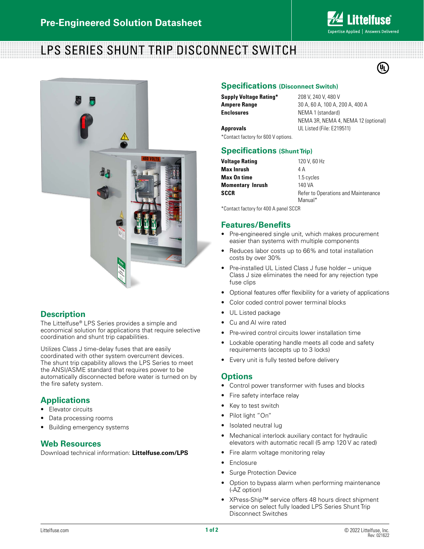

(U<sub>L</sub>)

# LPS SERIES SHUNT TRIP DISCONNECT SWITCH



## **Description**

The Littelfuse® LPS Series provides a simple and economical solution for applications that require selective coordination and shunt trip capabilities.

Utilizes Class J time-delay fuses that are easily coordinated with other system overcurrent devices. The shunt trip capability allows the LPS Series to meet the ANSI/ASME standard that requires power to be automatically disconnected before water is turned on by the fire safety system.

## **Applications**

- Elevator circuits
- Data processing rooms
- Building emergency systems

#### **Web Resources**

Download technical information: **Littelfuse.com/LPS**

#### **Specifications (Disconnect Switch)**

| Supply Voltage Rating* |  |
|------------------------|--|
| Ampere Range           |  |
| Enclosures             |  |

**Supply Voltage Rating\*** 208 V, 240 V, 480 V **Ampere Range** 30 A, 60 A, 100 A, 200 A, 400 A **NEMA 1 (standard)** NEMA 3R, NEMA 4, NEMA 12 (optional) **Approvals** UL Listed (File: E219511)

\*Contact factory for 600 V options.

#### **Specifications (Shunt Trip)**

| Voltage Rating          | 120 V, 60 Hz                        |  |  |  |
|-------------------------|-------------------------------------|--|--|--|
| Max Inrush              | 4 A                                 |  |  |  |
| Max On time             | 1.5 cycles                          |  |  |  |
| <b>Momentary Inrush</b> | 140 VA                              |  |  |  |
| SCCR                    | Refer to Operations and Maintenance |  |  |  |
|                         | Manual*                             |  |  |  |

\*Contact factory for 400 A panel SCCR

#### **Features/Benefits**

- Pre-engineered single unit, which makes procurement easier than systems with multiple components
- Reduces labor costs up to 66% and total installation costs by over 30%
- Pre-installed UL Listed Class J fuse holder unique Class J size eliminates the need for any rejection type fuse clips
- Optional features offer flexibility for a variety of applications
- Color coded control power terminal blocks
- UL Listed package
- Cu and AI wire rated
- Pre-wired control circuits lower installation time
- Lockable operating handle meets all code and safety requirements (accepts up to 3 locks)
- Every unit is fully tested before delivery

#### **Options**

- Control power transformer with fuses and blocks
- Fire safety interface relay
- Key to test switch
- Pilot light "On"
- Isolated neutral lug
- Mechanical interlock auxiliary contact for hydraulic elevators with automatic recall (5 amp 120 V ac rated)
- Fire alarm voltage monitoring relay
- Enclosure
- Surge Protection Device
- Option to bypass alarm when performing maintenance (-AZ option)
- XPress-Ship™ service offers 48 hours direct shipment service on select fully loaded LPS Series Shunt Trip Disconnect Switches